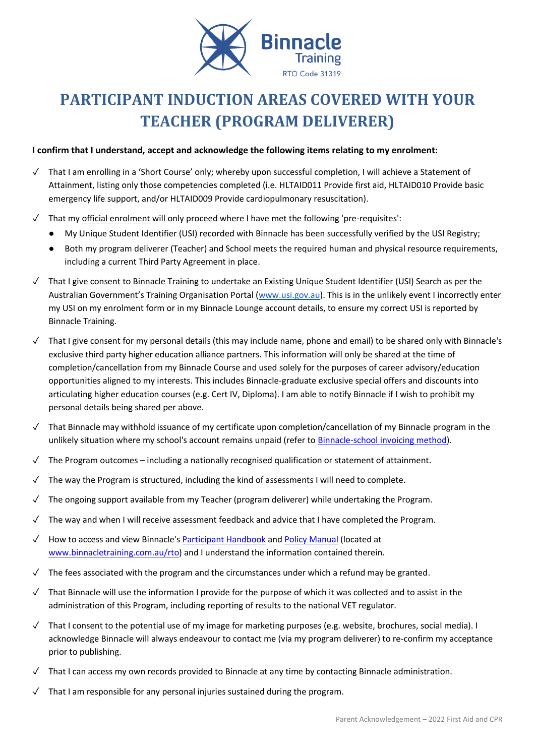

# **PARTICIPANT INDUCTION AREAS COVERED WITH YOUR TEACHER (PROGRAM DELIVERER)**

## **I confirm that I understand, accept and acknowledge the following items relating to my enrolment:**

- ✓ That I am enrolling in a 'Short Course' only; whereby upon successful completion, I will achieve a Statement of Attainment, listing only those competencies completed (i.e. HLTAID011 Provide first aid, HLTAID010 Provide basic emergency life support, and/or HLTAID009 Provide cardiopulmonary resuscitation).
- ✓ That my official enrolment will only proceed where I have met the following 'pre-requisites':
	- My Unique Student Identifier (USI) recorded with Binnacle has been successfully verified by the USI Registry;
	- Both my program deliverer (Teacher) and School meets the required human and physical resource requirements, including a current Third Party Agreement in place.
- ✓ That I give consent to Binnacle Training to undertake an Existing Unique Student Identifier (USI) Search as per the Australian Government's Training Organisation Portal ([www.usi.gov.au\)](http://www.usi.gov.au/). This is in the unlikely event I incorrectly enter my USI on my enrolment form or in my Binnacle Lounge account details, to ensure my correct USI is reported by Binnacle Training.
- ✓ That I give consent for my personal details (this may include name, phone and email) to be shared only with Binnacle's exclusive third party higher education alliance partners. This information will only be shared at the time of completion/cancellation from my Binnacle Course and used solely for the purposes of career advisory/education opportunities aligned to my interests. This includes Binnacle-graduate exclusive special offers and discounts into articulating higher education courses (e.g. Cert IV, Diploma). I am able to notify Binnacle if I wish to prohibit my personal details being shared per above.
- ✓ That Binnacle may withhold issuance of my certificate upon completion/cancellation of my Binnacle program in the unlikely situation where my school's account remains unpaid (refer t[o Binnacle-school invoicing method\)](http://www.binnacletraining.com.au/services-pricing.php).
- ✓ The Program outcomes including a nationally recognised qualification or statement of attainment.
- ✓ The way the Program is structured, including the kind of assessments I will need to complete.
- $\checkmark$  The ongoing support available from my Teacher (program deliverer) while undertaking the Program.
- ✓ The way and when I will receive assessment feedback and advice that I have completed the Program.
- ✓ How to access and view Binnacle's [Participant Handbook](http://www.binnacletraining.com.au/rto.php) an[d Policy Manual](http://www.binnacletraining.com.au/rto.php) (located at [www.binnacletraining.com.au/rto\)](http://www.binnacletraining.com.au/rto) and I understand the information contained therein.
- $\sqrt{\phantom{a}}$  The fees associated with the program and the circumstances under which a refund may be granted.
- ✓ That Binnacle will use the information I provide for the purpose of which it was collected and to assist in the administration of this Program, including reporting of results to the national VET regulator.
- ✓ That I consent to the potential use of my image for marketing purposes (e.g. website, brochures, social media). I acknowledge Binnacle will always endeavour to contact me (via my program deliverer) to re-confirm my acceptance prior to publishing.
- ✓ That I can access my own records provided to Binnacle at any time by contacting Binnacle administration.
- ✓ That I am responsible for any personal injuries sustained during the program.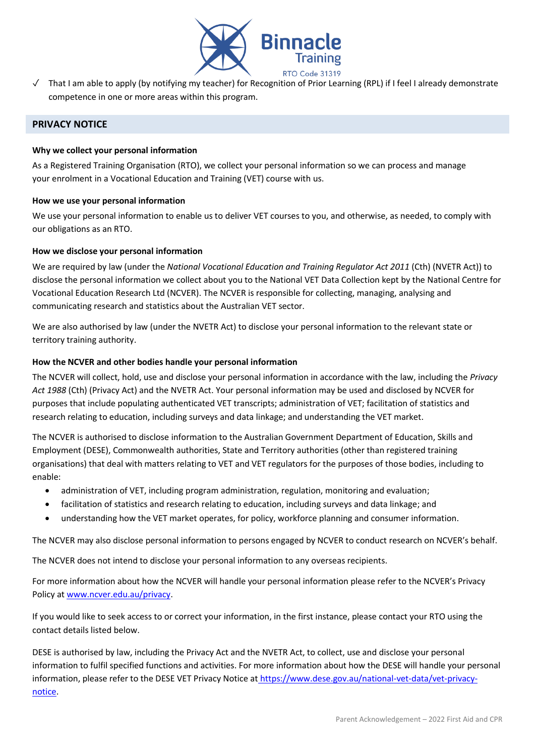

✓ That I am able to apply (by notifying my teacher) for Recognition of Prior Learning (RPL) if I feel I already demonstrate competence in one or more areas within this program.

## **PRIVACY NOTICE**

### **Why we collect your personal information**

As a Registered Training Organisation (RTO), we collect your personal information so we can process and manage your enrolment in a Vocational Education and Training (VET) course with us.

#### **How we use your personal information**

We use your personal information to enable us to deliver VET courses to you, and otherwise, as needed, to comply with our obligations as an RTO.

## **How we disclose your personal information**

We are required by law (under the *National Vocational Education and Training Regulator Act 2011* (Cth) (NVETR Act)) to disclose the personal information we collect about you to the National VET Data Collection kept by the National Centre for Vocational Education Research Ltd (NCVER). The NCVER is responsible for collecting, managing, analysing and communicating research and statistics about the Australian VET sector.

We are also authorised by law (under the NVETR Act) to disclose your personal information to the relevant state or territory training authority.

## **How the NCVER and other bodies handle your personal information**

The NCVER will collect, hold, use and disclose your personal information in accordance with the law, including the *Privacy Act 1988* (Cth) (Privacy Act) and the NVETR Act. Your personal information may be used and disclosed by NCVER for purposes that include populating authenticated VET transcripts; administration of VET; facilitation of statistics and research relating to education, including surveys and data linkage; and understanding the VET market.

The NCVER is authorised to disclose information to the Australian Government Department of Education, Skills and Employment (DESE), Commonwealth authorities, State and Territory authorities (other than registered training organisations) that deal with matters relating to VET and VET regulators for the purposes of those bodies, including to enable:

- administration of VET, including program administration, regulation, monitoring and evaluation;
- facilitation of statistics and research relating to education, including surveys and data linkage; and
- understanding how the VET market operates, for policy, workforce planning and consumer information.

The NCVER may also disclose personal information to persons engaged by NCVER to conduct research on NCVER's behalf.

The NCVER does not intend to disclose your personal information to any overseas recipients.

For more information about how the NCVER will handle your personal information please refer to the NCVER's Privacy Policy at [www.ncver.edu.au/privacy.](http://www.ncver.edu.au/privacy)

If you would like to seek access to or correct your information, in the first instance, please contact your RTO using the contact details listed below.

DESE is authorised by law, including the Privacy Act and the NVETR Act, to collect, use and disclose your personal information to fulfil specified functions and activities. For more information about how the DESE will handle your personal information, please refer to the DESE VET Privacy Notice at [https://www.dese.gov.au/national-vet-data/vet-privacy](https://www.dese.gov.au/national-vet-data/vet-privacy-notice)[notice.](https://www.dese.gov.au/national-vet-data/vet-privacy-notice)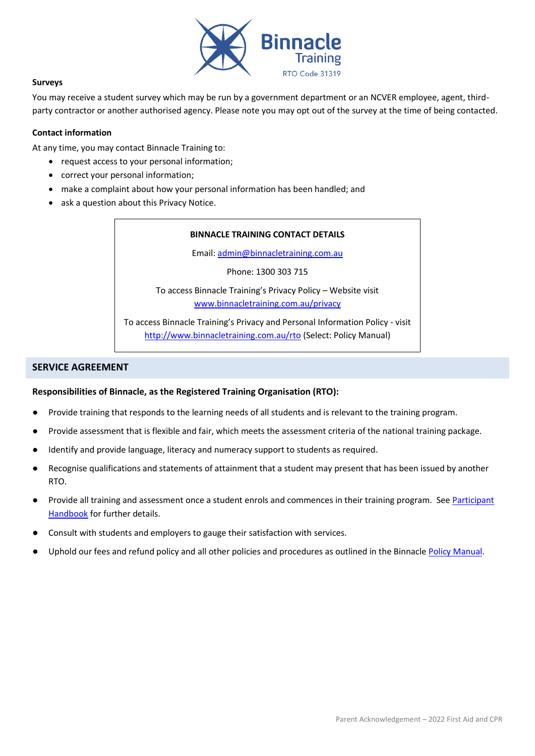

#### **Surveys**

You may receive a student survey which may be run by a government department or an NCVER employee, agent, thirdparty contractor or another authorised agency. Please note you may opt out of the survey at the time of being contacted.

#### **Contact information**

At any time, you may contact Binnacle Training to:

- request access to your personal information;
- correct your personal information;
- make a complaint about how your personal information has been handled; and
- ask a question about this Privacy Notice.

#### **BINNACLE TRAINING CONTACT DETAILS**

Email: [admin@binnacletraining.com.au](mailto:admin@binnacletraining.com.au)

Phone: 1300 303 715

To access Binnacle Training's Privacy Policy – Website visit [www.binnacletraining.com.au/privacy](http://www.binnacletraining.com.au/privacy)

To access Binnacle Training's Privacy and Personal Information Policy - visit <http://www.binnacletraining.com.au/rto> (Select: Policy Manual)

## **SERVICE AGREEMENT**

#### **Responsibilities of Binnacle, as the Registered Training Organisation (RTO):**

- Provide training that responds to the learning needs of all students and is relevant to the training program.
- Provide assessment that is flexible and fair, which meets the assessment criteria of the national training package.
- Identify and provide language, literacy and numeracy support to students as required.
- Recognise qualifications and statements of attainment that a student may present that has been issued by another RTO.
- Provide all training and assessment once a student enrols and commences in their training program. See Participant **[Handbook](http://www.binnacletraining.com.au/rto.php)** for further details.
- Consult with students and employers to gauge their satisfaction with services.
- Uphold our fees and refund policy and all other policies and procedures as outlined in the Binnacle [Policy Manual.](http://www.binnacletraining.com.au/rto.php)